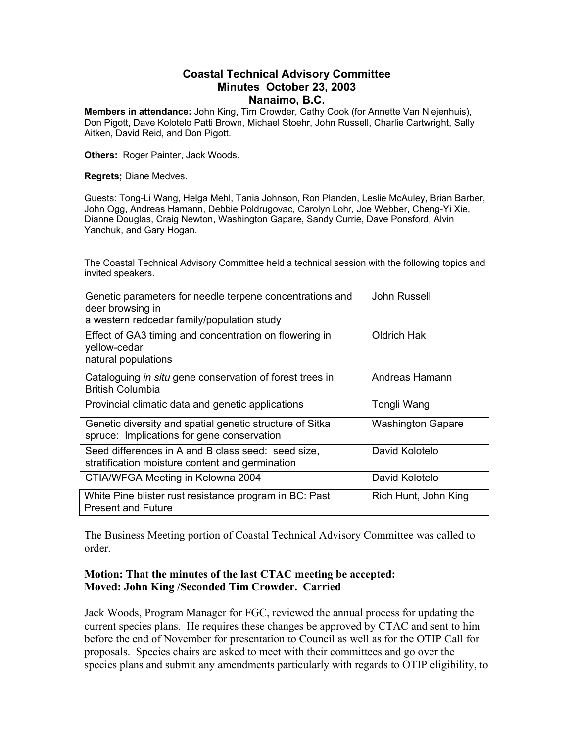#### **Coastal Technical Advisory Committee Minutes October 23, 2003 Nanaimo, B.C.**

**Members in attendance:** John King, Tim Crowder, Cathy Cook (for Annette Van Niejenhuis), Don Pigott, Dave Kolotelo Patti Brown, Michael Stoehr, John Russell, Charlie Cartwright, Sally Aitken, David Reid, and Don Pigott.

**Others:** Roger Painter, Jack Woods.

**Regrets;** Diane Medves.

Guests: Tong-Li Wang, Helga Mehl, Tania Johnson, Ron Planden, Leslie McAuley, Brian Barber, John Ogg, Andreas Hamann, Debbie Poldrugovac, Carolyn Lohr, Joe Webber, Cheng-Yi Xie, Dianne Douglas, Craig Newton, Washington Gapare, Sandy Currie, Dave Ponsford, Alvin Yanchuk, and Gary Hogan.

The Coastal Technical Advisory Committee held a technical session with the following topics and invited speakers.

| Genetic parameters for needle terpene concentrations and<br>deer browsing in<br>a western redcedar family/population study | John Russell             |
|----------------------------------------------------------------------------------------------------------------------------|--------------------------|
| Effect of GA3 timing and concentration on flowering in<br>yellow-cedar<br>natural populations                              | Oldrich Hak              |
| Cataloguing in situ gene conservation of forest trees in<br><b>British Columbia</b>                                        | Andreas Hamann           |
| Provincial climatic data and genetic applications                                                                          | Tongli Wang              |
| Genetic diversity and spatial genetic structure of Sitka<br>spruce: Implications for gene conservation                     | <b>Washington Gapare</b> |
| Seed differences in A and B class seed: seed size,<br>stratification moisture content and germination                      | David Kolotelo           |
| CTIA/WFGA Meeting in Kelowna 2004                                                                                          | David Kolotelo           |
| White Pine blister rust resistance program in BC: Past<br><b>Present and Future</b>                                        | Rich Hunt, John King     |

The Business Meeting portion of Coastal Technical Advisory Committee was called to order.

### **Motion: That the minutes of the last CTAC meeting be accepted: Moved: John King /Seconded Tim Crowder. Carried**

Jack Woods, Program Manager for FGC, reviewed the annual process for updating the current species plans. He requires these changes be approved by CTAC and sent to him before the end of November for presentation to Council as well as for the OTIP Call for proposals. Species chairs are asked to meet with their committees and go over the species plans and submit any amendments particularly with regards to OTIP eligibility, to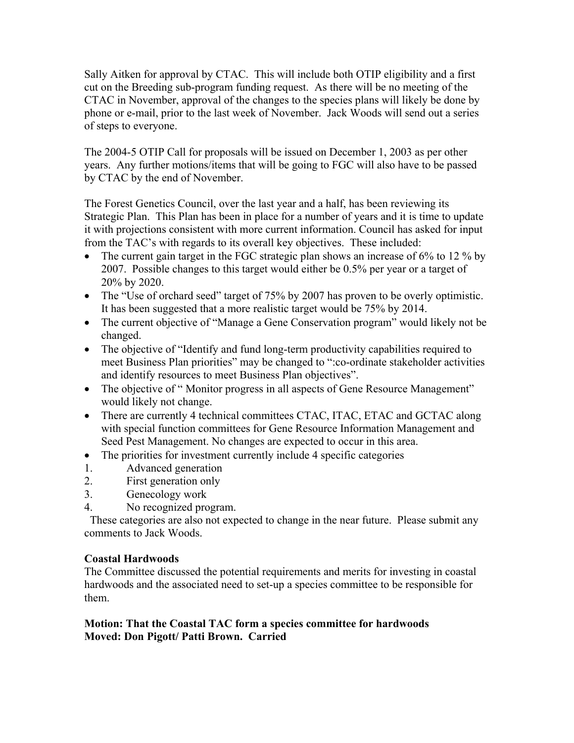Sally Aitken for approval by CTAC. This will include both OTIP eligibility and a first cut on the Breeding sub-program funding request. As there will be no meeting of the CTAC in November, approval of the changes to the species plans will likely be done by phone or e-mail, prior to the last week of November. Jack Woods will send out a series of steps to everyone.

The 2004-5 OTIP Call for proposals will be issued on December 1, 2003 as per other years. Any further motions/items that will be going to FGC will also have to be passed by CTAC by the end of November.

The Forest Genetics Council, over the last year and a half, has been reviewing its Strategic Plan. This Plan has been in place for a number of years and it is time to update it with projections consistent with more current information. Council has asked for input from the TAC's with regards to its overall key objectives. These included:

- The current gain target in the FGC strategic plan shows an increase of 6% to 12 % by 2007. Possible changes to this target would either be 0.5% per year or a target of 20% by 2020.
- The "Use of orchard seed" target of 75% by 2007 has proven to be overly optimistic. It has been suggested that a more realistic target would be 75% by 2014.
- The current objective of "Manage a Gene Conservation program" would likely not be changed.
- The objective of "Identify and fund long-term productivity capabilities required to meet Business Plan priorities" may be changed to ":co-ordinate stakeholder activities and identify resources to meet Business Plan objectives".
- The objective of "Monitor progress in all aspects of Gene Resource Management" would likely not change.
- There are currently 4 technical committees CTAC, ITAC, ETAC and GCTAC along with special function committees for Gene Resource Information Management and Seed Pest Management. No changes are expected to occur in this area.
- The priorities for investment currently include 4 specific categories
- 1. Advanced generation
- 2. First generation only
- 3. Genecology work
- 4. No recognized program.

 These categories are also not expected to change in the near future. Please submit any comments to Jack Woods.

## **Coastal Hardwoods**

The Committee discussed the potential requirements and merits for investing in coastal hardwoods and the associated need to set-up a species committee to be responsible for them.

## **Motion: That the Coastal TAC form a species committee for hardwoods Moved: Don Pigott/ Patti Brown. Carried**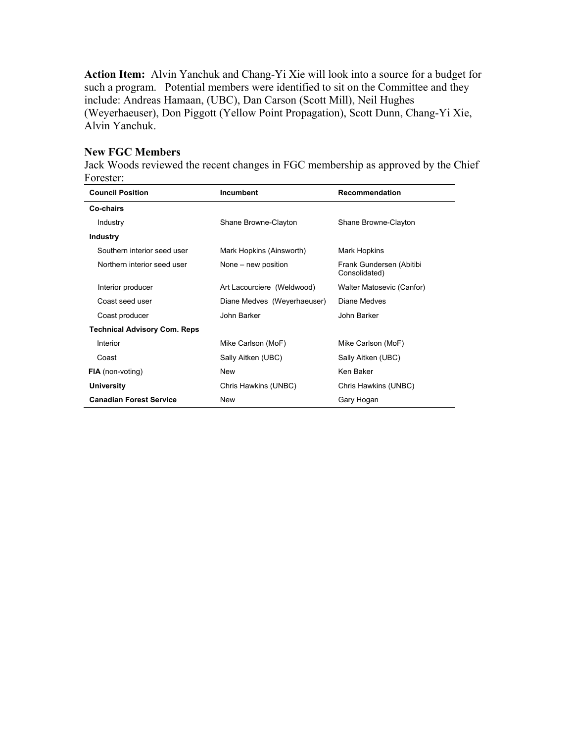**Action Item:** Alvin Yanchuk and Chang-Yi Xie will look into a source for a budget for such a program. Potential members were identified to sit on the Committee and they include: Andreas Hamaan, (UBC), Dan Carson (Scott Mill), Neil Hughes (Weyerhaeuser), Don Piggott (Yellow Point Propagation), Scott Dunn, Chang-Yi Xie, Alvin Yanchuk.

### **New FGC Members**

Jack Woods reviewed the recent changes in FGC membership as approved by the Chief Forester:

| <b>Council Position</b>             | <b>Incumbent</b>            | Recommendation                            |
|-------------------------------------|-----------------------------|-------------------------------------------|
| Co-chairs                           |                             |                                           |
| Industry                            | Shane Browne-Clayton        | Shane Browne-Clayton                      |
| <b>Industry</b>                     |                             |                                           |
| Southern interior seed user         | Mark Hopkins (Ainsworth)    | Mark Hopkins                              |
| Northern interior seed user         | None – new position         | Frank Gundersen (Abitibi<br>Consolidated) |
| Interior producer                   | Art Lacourciere (Weldwood)  | Walter Matosevic (Canfor)                 |
| Coast seed user                     | Diane Medves (Weyerhaeuser) | Diane Medves                              |
| Coast producer                      | John Barker                 | John Barker                               |
| <b>Technical Advisory Com. Reps</b> |                             |                                           |
| Interior                            | Mike Carlson (MoF)          | Mike Carlson (MoF)                        |
| Coast                               | Sally Aitken (UBC)          | Sally Aitken (UBC)                        |
| <b>FIA</b> (non-voting)             | New                         | Ken Baker                                 |
| <b>University</b>                   | Chris Hawkins (UNBC)        | Chris Hawkins (UNBC)                      |
| <b>Canadian Forest Service</b>      | <b>New</b>                  | Gary Hogan                                |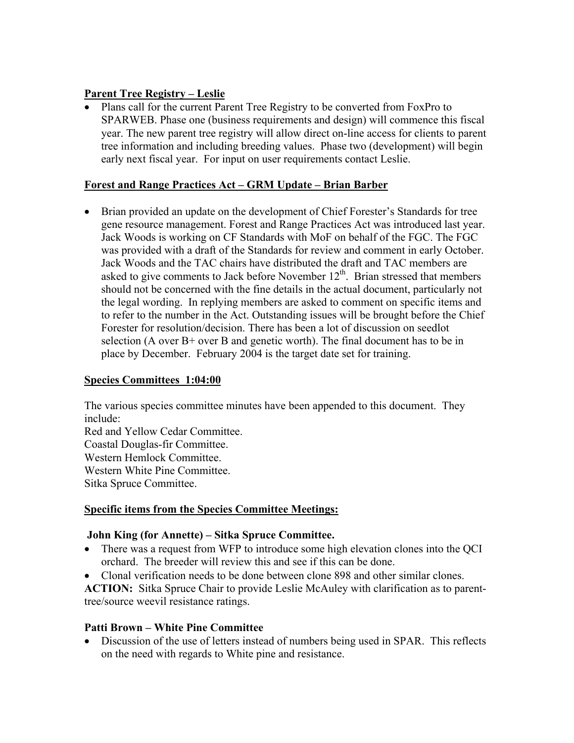## **Parent Tree Registry – Leslie**

• Plans call for the current Parent Tree Registry to be converted from FoxPro to SPARWEB. Phase one (business requirements and design) will commence this fiscal year. The new parent tree registry will allow direct on-line access for clients to parent tree information and including breeding values. Phase two (development) will begin early next fiscal year. For input on user requirements contact Leslie.

# **Forest and Range Practices Act – GRM Update – Brian Barber**

• Brian provided an update on the development of Chief Forester's Standards for tree gene resource management. Forest and Range Practices Act was introduced last year. Jack Woods is working on CF Standards with MoF on behalf of the FGC. The FGC was provided with a draft of the Standards for review and comment in early October. Jack Woods and the TAC chairs have distributed the draft and TAC members are asked to give comments to Jack before November  $12<sup>th</sup>$ . Brian stressed that members should not be concerned with the fine details in the actual document, particularly not the legal wording. In replying members are asked to comment on specific items and to refer to the number in the Act. Outstanding issues will be brought before the Chief Forester for resolution/decision. There has been a lot of discussion on seedlot selection (A over  $B$ + over B and genetic worth). The final document has to be in place by December. February 2004 is the target date set for training.

# **Species Committees 1:04:00**

The various species committee minutes have been appended to this document. They include:

Red and Yellow Cedar Committee. Coastal Douglas-fir Committee. Western Hemlock Committee. Western White Pine Committee. Sitka Spruce Committee.

# **Specific items from the Species Committee Meetings:**

## **John King (for Annette) – Sitka Spruce Committee.**

- There was a request from WFP to introduce some high elevation clones into the OCI orchard. The breeder will review this and see if this can be done.
- Clonal verification needs to be done between clone 898 and other similar clones.

**ACTION:** Sitka Spruce Chair to provide Leslie McAuley with clarification as to parenttree/source weevil resistance ratings.

# **Patti Brown – White Pine Committee**

• Discussion of the use of letters instead of numbers being used in SPAR. This reflects on the need with regards to White pine and resistance.